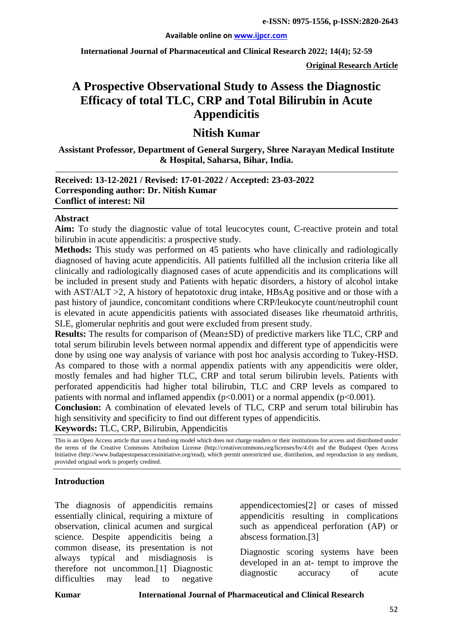**International Journal of Pharmaceutical and Clinical Research 2022; 14(4); 52-59**

**Original Research Article**

# **A Prospective Observational Study to Assess the Diagnostic Efficacy of total TLC, CRP and Total Bilirubin in Acute Appendicitis**

# **Nitish Kumar**

**Assistant Professor, Department of General Surgery, Shree Narayan Medical Institute & Hospital, Saharsa, Bihar, India.**

#### **Received: 13-12-2021 / Revised: 17-01-2022 / Accepted: 23-03-2022 Corresponding author: Dr. Nitish Kumar Conflict of interest: Nil**

#### **Abstract**

**Aim:** To study the diagnostic value of total leucocytes count, C-reactive protein and total bilirubin in acute appendicitis: a prospective study.

**Methods:** This study was performed on 45 patients who have clinically and radiologically diagnosed of having acute appendicitis. All patients fulfilled all the inclusion criteria like all clinically and radiologically diagnosed cases of acute appendicitis and its complications will be included in present study and Patients with hepatic disorders, a history of alcohol intake with AST/ALT >2, A history of hepatotoxic drug intake, HBsAg positive and or those with a past history of jaundice, concomitant conditions where CRP/leukocyte count/neutrophil count is elevated in acute appendicitis patients with associated diseases like rheumatoid arthritis, SLE, glomerular nephritis and gout were excluded from present study.

**Results:** The results for comparison of (Mean±SD) of predictive markers like TLC, CRP and total serum bilirubin levels between normal appendix and different type of appendicitis were done by using one way analysis of variance with post hoc analysis according to Tukey-HSD. As compared to those with a normal appendix patients with any appendicitis were older, mostly females and had higher TLC, CRP and total serum bilirubin levels. Patients with perforated appendicitis had higher total bilirubin, TLC and CRP levels as compared to patients with normal and inflamed appendix  $(p<0.001)$  or a normal appendix  $(p<0.001)$ .

**Conclusion:** A combination of elevated levels of TLC, CRP and serum total bilirubin has high sensitivity and specificity to find out different types of appendicitis.

**Keywords:** TLC, CRP, Bilirubin, Appendicitis

This is an Open Access article that uses a fund-ing model which does not charge readers or their institutions for access and distributed under the terms of the Creative Commons Attribution License (http://creativecommons.org/licenses/by/4.0) and the Budapest Open Access Initiative (http://www.budapestopenaccessinitiative.org/read), which permit unrestricted use, distribution, and reproduction in any medium, provided original work is properly credited.

#### **Introduction**

The diagnosis of appendicitis remains essentially clinical, requiring a mixture of observation, clinical acumen and surgical science. Despite appendicitis being a common disease, its presentation is not always typical and misdiagnosis is therefore not uncommon.[1] Diagnostic difficulties may lead to negative

appendicectomies[2] or cases of missed appendicitis resulting in complications such as appendiceal perforation (AP) or abscess formation.[3]

Diagnostic scoring systems have been developed in an at- tempt to improve the diagnostic accuracy of acute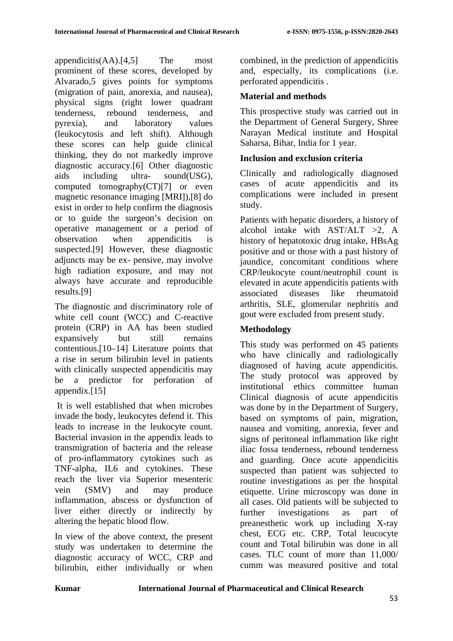appendicitis(AA).[4,5] The most prominent of these scores, developed by Alvarado,5 gives points for symptoms (migration of pain, anorexia, and nausea), physical signs (right lower quadrant tenderness, rebound tenderness, and pyrexia), and laboratory values (leukocytosis and left shift). Although these scores can help guide clinical thinking, they do not markedly improve diagnostic accuracy.[6] Other diagnostic aids including ultra- sound(USG), computed tomography(CT)[7] or even magnetic resonance imaging [MRI]),[8] do exist in order to help confirm the diagnosis or to guide the surgeon's decision on operative management or a period of observation when appendicitis is suspected.[9] However, these diagnostic adjuncts may be ex- pensive, may involve high radiation exposure, and may not always have accurate and reproducible results.[9]

The diagnostic and discriminatory role of white cell count (WCC) and C-reactive protein (CRP) in AA has been studied expansively but still remains contentious.[10–14] Literature points that a rise in serum bilirubin level in patients with clinically suspected appendicitis may be a predictor for perforation of appendix.[15]

It is well established that when microbes invade the body, leukocytes defend it. This leads to increase in the leukocyte count. Bacterial invasion in the appendix leads to transmigration of bacteria and the release of pro-inflammatory cytokines such as TNF-alpha, IL6 and cytokines. These reach the liver via Superior mesenteric vein (SMV) and may produce inflammation, abscess or dysfunction of liver either directly or indirectly by altering the hepatic blood flow.

In view of the above context, the present study was undertaken to determine the diagnostic accuracy of WCC, CRP and bilirubin, either individually or when combined, in the prediction of appendicitis and, especially, its complications (i.e. perforated appendicitis .

# **Material and methods**

This prospective study was carried out in the Department of General Surgery, Shree Narayan Medical institute and Hospital Saharsa, Bihar, India for 1 year.

# **Inclusion and exclusion criteria**

Clinically and radiologically diagnosed cases of acute appendicitis and its complications were included in present study.

Patients with hepatic disorders, a history of alcohol intake with  $AST/ALT >2$ , A history of hepatotoxic drug intake, HBsAg positive and or those with a past history of jaundice, concomitant conditions where CRP/leukocyte count/neutrophil count is elevated in acute appendicitis patients with associated diseases like rheumatoid arthritis, SLE, glomerular nephritis and gout were excluded from present study.

# **Methodology**

This study was performed on 45 patients who have clinically and radiologically diagnosed of having acute appendicitis. The study protocol was approved by institutional ethics committee human Clinical diagnosis of acute appendicitis was done by in the Department of Surgery, based on symptoms of pain, migration, nausea and vomiting, anorexia, fever and signs of peritoneal inflammation like right iliac fossa tenderness, rebound tenderness and guarding. Once acute appendicitis suspected than patient was subjected to routine investigations as per the hospital etiquette. Urine microscopy was done in all cases. Old patients will be subjected to further investigations as part of preanesthetic work up including X-ray chest, ECG etc. CRP, Total leucocyte count and Total bilirubin was done in all cases. TLC count of more than 11,000/ cumm was measured positive and total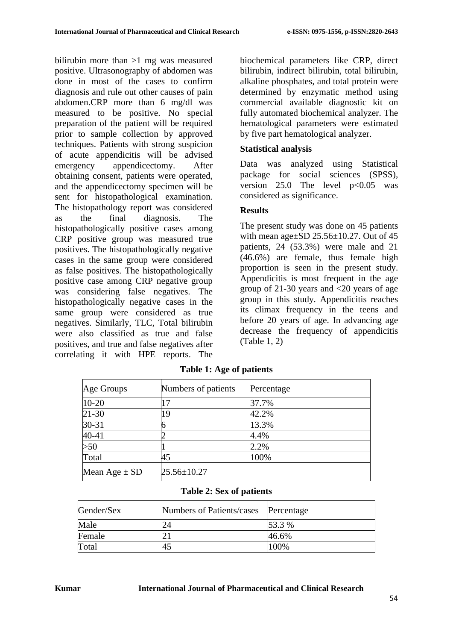bilirubin more than >1 mg was measured positive. Ultrasonography of abdomen was done in most of the cases to confirm diagnosis and rule out other causes of pain abdomen.CRP more than 6 mg/dl was measured to be positive. No special preparation of the patient will be required prior to sample collection by approved techniques. Patients with strong suspicion of acute appendicitis will be advised emergency appendicectomy. After obtaining consent, patients were operated, and the appendicectomy specimen will be sent for histopathological examination. The histopathology report was considered as the final diagnosis. The histopathologically positive cases among CRP positive group was measured true positives. The histopathologically negative cases in the same group were considered as false positives. The histopathologically positive case among CRP negative group was considering false negatives. The histopathologically negative cases in the same group were considered as true negatives. Similarly, TLC, Total bilirubin were also classified as true and false positives, and true and false negatives after correlating it with HPE reports. The

biochemical parameters like CRP, direct bilirubin, indirect bilirubin, total bilirubin, alkaline phosphates, and total protein were determined by enzymatic method using commercial available diagnostic kit on fully automated biochemical analyzer. The hematological parameters were estimated by five part hematological analyzer.

# **Statistical analysis**

Data was analyzed using Statistical package for social sciences (SPSS), version  $25.0$  The level  $p < 0.05$  was considered as significance.

# **Results**

The present study was done on 45 patients with mean age $\pm$ SD 25.56 $\pm$ 10.27. Out of 45 patients, 24 (53.3%) were male and 21 (46.6%) are female, thus female high proportion is seen in the present study. Appendicitis is most frequent in the age group of 21-30 years and <20 years of age group in this study. Appendicitis reaches its climax frequency in the teens and before 20 years of age. In advancing age decrease the frequency of appendicitis (Table 1, 2)

| Age Groups        | Numbers of patients | Percentage |
|-------------------|---------------------|------------|
| $10 - 20$         | $\overline{17}$     | 37.7%      |
| $21 - 30$         | 19                  | 42.2%      |
| 30-31             |                     | 13.3%      |
| 40-41             |                     | 4.4%       |
| >50               |                     | 2.2%       |
| Total             | 45                  | 100%       |
| Mean Age $\pm$ SD | $25.56 \pm 10.27$   |            |

**Table 1: Age of patients**

#### **Table 2: Sex of patients**

| Gender/Sex | Numbers of Patients/cases | Percentage |
|------------|---------------------------|------------|
| Male       |                           | 53.3 %     |
| Female     |                           | 46.6%      |
| Total      | 45                        | 100%       |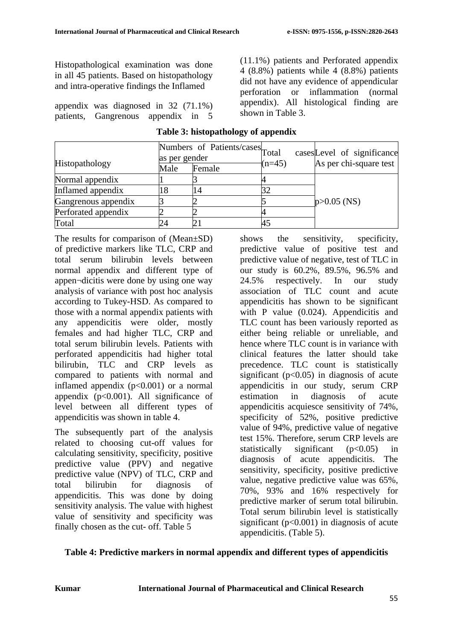Histopathological examination was done in all 45 patients. Based on histopathology and intra-operative findings the Inflamed

appendix was diagnosed in 32 (71.1%) patients, Gangrenous appendix in 5 (11.1%) patients and Perforated appendix 4 (8.8%) patients while 4 (8.8%) patients did not have any evidence of appendicular perforation or inflammation (normal appendix). All histological finding are shown in Table 3.

|                     | as per gender | Numbers of Patients/cases Total |          | cases Level of significance<br>As per chi-square test |  |
|---------------------|---------------|---------------------------------|----------|-------------------------------------------------------|--|
| Histopathology      | Male          | Female                          | $(n=45)$ |                                                       |  |
| Normal appendix     |               |                                 |          |                                                       |  |
| Inflamed appendix   | 8             | '4                              |          | $p > 0.05$ (NS)                                       |  |
| Gangrenous appendix |               |                                 |          |                                                       |  |
| Perforated appendix |               |                                 |          |                                                       |  |
| Total               |               |                                 |          |                                                       |  |

#### **Table 3: histopathology of appendix**

The results for comparison of (Mean±SD) of predictive markers like TLC, CRP and total serum bilirubin levels between normal appendix and different type of appen¬dicitis were done by using one way analysis of variance with post hoc analysis according to Tukey-HSD. As compared to those with a normal appendix patients with any appendicitis were older, mostly females and had higher TLC, CRP and total serum bilirubin levels. Patients with perforated appendicitis had higher total bilirubin, TLC and CRP levels as compared to patients with normal and inflamed appendix  $(p<0.001)$  or a normal appendix  $(p<0.001)$ . All significance of level between all different types of appendicitis was shown in table 4.

The subsequently part of the analysis related to choosing cut-off values for calculating sensitivity, specificity, positive predictive value (PPV) and negative predictive value (NPV) of TLC, CRP and total bilirubin for diagnosis of appendicitis. This was done by doing sensitivity analysis. The value with highest value of sensitivity and specificity was finally chosen as the cut- off. Table 5

shows the sensitivity, specificity, predictive value of positive test and predictive value of negative, test of TLC in our study is 60.2%, 89.5%, 96.5% and 24.5% respectively. In our study association of TLC count and acute appendicitis has shown to be significant with P value (0.024). Appendicitis and TLC count has been variously reported as either being reliable or unreliable, and hence where TLC count is in variance with clinical features the latter should take precedence. TLC count is statistically significant ( $p<0.05$ ) in diagnosis of acute appendicitis in our study, serum CRP estimation in diagnosis of acute appendicitis acquiesce sensitivity of 74%, specificity of 52%, positive predictive value of 94%, predictive value of negative test 15%. Therefore, serum CRP levels are statistically significant (p<0.05) in diagnosis of acute appendicitis. The sensitivity, specificity, positive predictive value, negative predictive value was 65%, 70%, 93% and 16% respectively for predictive marker of serum total bilirubin. Total serum bilirubin level is statistically significant ( $p<0.001$ ) in diagnosis of acute appendicitis. (Table 5).

**Table 4: Predictive markers in normal appendix and different types of appendicitis**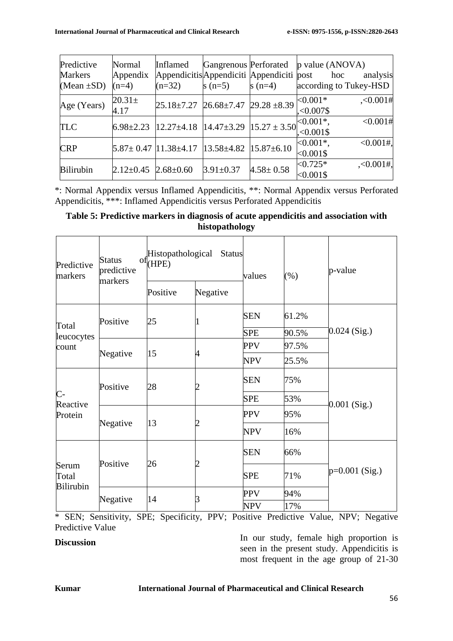| Predictive<br><b>Markers</b><br>(Mean $\pm SD$ ) | Normal<br>Appendix<br>$(n=4)$   | Inflamed<br>$(n=32)$                                                                                                      | $s(n=5)$        | s $(n=4)$       | Gangrenous Perforated p value (ANOVA)<br>Appendicitis Appendiciti Appendiciti post hoc<br>according to Tukey-HSD | analysis      |
|--------------------------------------------------|---------------------------------|---------------------------------------------------------------------------------------------------------------------------|-----------------|-----------------|------------------------------------------------------------------------------------------------------------------|---------------|
| Age (Years)                                      | $20.31 \pm$<br>4.17             | $25.18\pm7.27$ 26.68 $\pm7.47$ 29.28 $\pm8.39$ $\sim0.001*$                                                               |                 |                 | ${<}0.007$ \$                                                                                                    | , <0.001#     |
| <b>TLC</b>                                       |                                 | $\left  6.98 \pm 2.23 \right  12.27 \pm 4.18 \left  14.47 \pm 3.29 \right  15.27 \pm 3.50 \right  < 0.001$ <sup>*</sup> , |                 |                 |                                                                                                                  | <0.001#       |
| <b>CRP</b>                                       |                                 | $5.87 \pm 0.47$  11.38 $\pm$ 4.17  13.58 $\pm$ 4.82  15.87 $\pm$ 6.10                                                     |                 |                 | $<0.001*$ ,<br>$< 0.001$ \$                                                                                      | $<0.001$ #,   |
| <b>Bilirubin</b>                                 | $2.12 \pm 0.45$ 2.68 $\pm 0.60$ |                                                                                                                           | $3.91 \pm 0.37$ | $4.58 \pm 0.58$ | $< 0.725*$<br>$< 0.001$ \$                                                                                       | $, <0.001$ #, |

\*: Normal Appendix versus Inflamed Appendicitis, \*\*: Normal Appendix versus Perforated Appendicitis, \*\*\*: Inflamed Appendicitis versus Perforated Appendicitis

### **Table 5: Predictive markers in diagnosis of acute appendicitis and association with histopathology**

| Predictive<br>markers                   | <b>Status</b><br>predictive<br>markers | Histopathological<br>of <sub>(HPE)</sub><br><b>Status</b> |          | values     | $(\%)$ | p-value          |
|-----------------------------------------|----------------------------------------|-----------------------------------------------------------|----------|------------|--------|------------------|
|                                         |                                        | Positive                                                  | Negative |            |        |                  |
| Total<br>leucocytes<br>count            | Positive                               | 25                                                        |          | <b>SEN</b> | 61.2%  |                  |
|                                         |                                        |                                                           |          | <b>SPE</b> | 90.5%  | $0.024$ (Sig.)   |
|                                         | Negative                               |                                                           |          | <b>PPV</b> | 97.5%  |                  |
|                                         |                                        | 15                                                        | 4        | <b>NPV</b> | 25.5%  |                  |
| $\overline{C}$ -<br>Reactive<br>Protein | Positive                               | 28                                                        |          | <b>SEN</b> | 75%    |                  |
|                                         |                                        |                                                           |          | <b>SPE</b> | 53%    |                  |
|                                         | Negative                               | 13                                                        |          | <b>PPV</b> | 95%    | $0.001$ (Sig.)   |
|                                         |                                        |                                                           |          | <b>NPV</b> | 16%    |                  |
| Serum<br>Total<br><b>Bilirubin</b>      | Positive                               |                                                           |          | <b>SEN</b> | 66%    |                  |
|                                         |                                        | 26                                                        |          | <b>SPE</b> | 71%    | $p=0.001$ (Sig.) |
|                                         | Negative                               | 14                                                        |          | <b>PPV</b> | 94%    |                  |
|                                         |                                        |                                                           |          | NPV        | 17%    |                  |

\* SEN; Sensitivity, SPE; Specificity, PPV; Positive Predictive Value, NPV; Negative Predictive Value

**Discussion** In our study, female high proportion is seen in the present study. Appendicitis is most frequent in the age group of 21-30

#### **Kumar International Journal of Pharmaceutical and Clinical Research**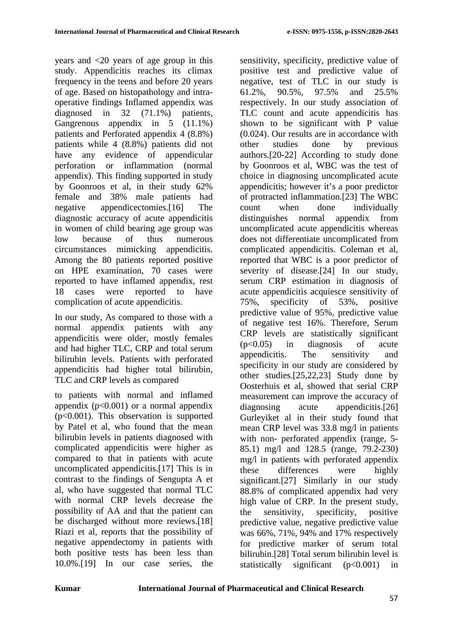years and <20 years of age group in this study. Appendicitis reaches its climax frequency in the teens and before 20 years of age. Based on histopathology and intraoperative findings Inflamed appendix was diagnosed in 32 (71.1%) patients, Gangrenous appendix in 5 (11.1%) patients and Perforated appendix 4 (8.8%) patients while 4 (8.8%) patients did not have any evidence of appendicular perforation or inflammation (normal appendix). This finding supported in study by Goonroos et al, in their study 62% female and 38% male patients had negative appendicectomies.[16] The diagnostic accuracy of acute appendicitis in women of child bearing age group was low because of thus numerous circumstances mimicking appendicitis. Among the 80 patients reported positive on HPE examination, 70 cases were reported to have inflamed appendix, rest 18 cases were reported to have complication of acute appendicitis.

In our study, As compared to those with a normal appendix patients with any appendicitis were older, mostly females and had higher TLC, CRP and total serum bilirubin levels. Patients with perforated appendicitis had higher total bilirubin, TLC and CRP levels as compared

to patients with normal and inflamed appendix  $(p<0.001)$  or a normal appendix (p<0.001). This observation is supported by Patel et al, who found that the mean bilirubin levels in patients diagnosed with complicated appendicitis were higher as compared to that in patients with acute uncomplicated appendicitis.[17] This is in contrast to the findings of Sengupta A et al, who have suggested that normal TLC with normal CRP levels decrease the possibility of AA and that the patient can be discharged without more reviews.[18] Riazi et al, reports that the possibility of negative appendectomy in patients with both positive tests has been less than 10.0%.[19] In our case series, the

sensitivity, specificity, predictive value of positive test and predictive value of negative, test of TLC in our study is 61.2%, 90.5%, 97.5% and 25.5% respectively. In our study association of TLC count and acute appendicitis has shown to be significant with P value (0.024). Our results are in accordance with other studies done by previous authors.[20-22] According to study done by Goonroos et al, WBC was the test of choice in diagnosing uncomplicated acute appendicitis; however it's a poor predictor of protracted inflammation.[23] The WBC count when done individually distinguishes normal appendix from uncomplicated acute appendicitis whereas does not differentiate uncomplicated from complicated appendicitis. Coleman et al, reported that WBC is a poor predictor of severity of disease.<sup>[24]</sup> In our study, serum CRP estimation in diagnosis of acute appendicitis acquiesce sensitivity of 75%, specificity of 53%, positive predictive value of 95%, predictive value of negative test 16%. Therefore, Serum CRP levels are statistically significant (p<0.05) in diagnosis of acute appendicitis. The sensitivity and specificity in our study are considered by other studies.[25,22,23] Study done by Oosterhuis et al, showed that serial CRP measurement can improve the accuracy of diagnosing acute appendicitis.[26] Gurleyiket al in their study found that mean CRP level was 33.8 mg/l in patients with non- perforated appendix (range, 5- 85.1) mg/l and 128.5 (range, 79.2-230) mg/l in patients with perforated appendix these differences were highly significant.[27] Similarly in our study 88.8% of complicated appendix had very high value of CRP. In the present study, the sensitivity, specificity, positive predictive value, negative predictive value was 66%, 71%, 94% and 17% respectively for predictive marker of serum total bilirubin.[28] Total serum bilirubin level is statistically significant (p<0.001) in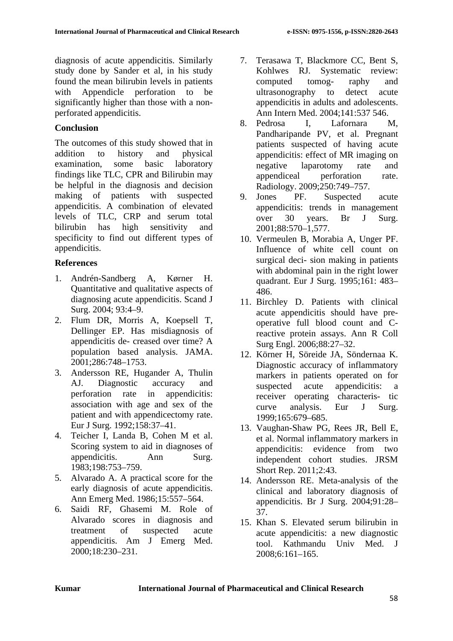diagnosis of acute appendicitis. Similarly study done by Sander et al, in his study found the mean bilirubin levels in patients with Appendicle perforation to be significantly higher than those with a nonperforated appendicitis.

#### **Conclusion**

The outcomes of this study showed that in addition to history and physical examination, some basic laboratory findings like TLC, CPR and Bilirubin may be helpful in the diagnosis and decision making of patients with suspected appendicitis. A combination of elevated levels of TLC, CRP and serum total bilirubin has high sensitivity and specificity to find out different types of appendicitis.

# **References**

- 1. Andrén-Sandberg A, Kørner H. Quantitative and qualitative aspects of diagnosing acute appendicitis. Scand J Surg. 2004; 93:4–9.
- 2. Flum DR, Morris A, Koepsell T, Dellinger EP. Has misdiagnosis of appendicitis de- creased over time? A population based analysis. JAMA. 2001;286:748–1753.
- 3. Andersson RE, Hugander A, Thulin AJ. Diagnostic accuracy and perforation rate in appendicitis: association with age and sex of the patient and with appendicectomy rate. Eur J Surg. 1992;158:37–41.
- 4. Teicher I, Landa B, Cohen M et al. Scoring system to aid in diagnoses of appendicitis. Ann Surg. 1983;198:753–759.
- 5. Alvarado A. A practical score for the early diagnosis of acute appendicitis. Ann Emerg Med. 1986;15:557–564.
- 6. Saidi RF, Ghasemi M. Role of Alvarado scores in diagnosis and treatment of suspected acute appendicitis. Am J Emerg Med. 2000;18:230–231.
- 7. Terasawa T, Blackmore CC, Bent S, Kohlwes RJ. Systematic review: computed tomog- raphy and ultrasonography to detect acute appendicitis in adults and adolescents. Ann Intern Med. 2004;141:537 546.
- 8. Pedrosa I, Lafornara M, Pandharipande PV, et al. Pregnant patients suspected of having acute appendicitis: effect of MR imaging on negative laparotomy rate and appendiceal perforation rate. Radiology. 2009;250:749–757.
- 9. Jones PF. Suspected acute appendicitis: trends in management over 30 years. Br J Surg. 2001;88:570–1,577.
- 10. Vermeulen B, Morabia A, Unger PF. Influence of white cell count on surgical deci- sion making in patients with abdominal pain in the right lower quadrant. Eur J Surg. 1995;161: 483– 486.
- 11. Birchley D. Patients with clinical acute appendicitis should have preoperative full blood count and Creactive protein assays. Ann R Coll Surg Engl. 2006;88:27–32.
- 12. Körner H, Söreide JA, Söndernaa K. Diagnostic accuracy of inflammatory markers in patients operated on for suspected acute appendicitis: a receiver operating characteris- tic curve analysis. Eur J Surg. 1999;165:679–685.
- 13. Vaughan-Shaw PG, Rees JR, Bell E, et al. Normal inflammatory markers in appendicitis: evidence from two independent cohort studies. JRSM Short Rep. 2011;2:43.
- 14. Andersson RE. Meta-analysis of the clinical and laboratory diagnosis of appendicitis. Br J Surg. 2004;91:28– 37.
- 15. Khan S. Elevated serum bilirubin in acute appendicitis: a new diagnostic tool. Kathmandu Univ Med. J 2008;6:161–165.